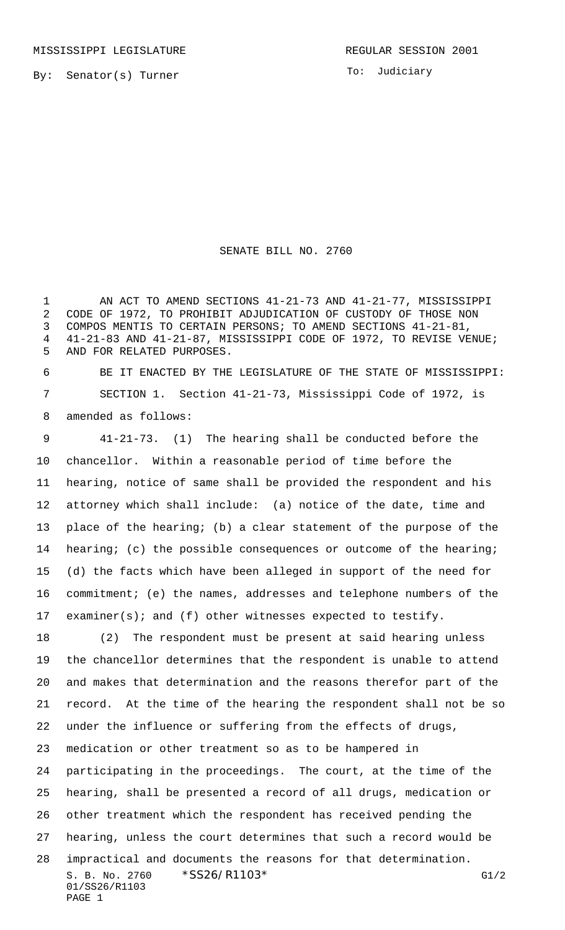To: Judiciary

## SENATE BILL NO. 2760

1 AN ACT TO AMEND SECTIONS 41-21-73 AND 41-21-77, MISSISSIPPI CODE OF 1972, TO PROHIBIT ADJUDICATION OF CUSTODY OF THOSE NON COMPOS MENTIS TO CERTAIN PERSONS; TO AMEND SECTIONS 41-21-81, 41-21-83 AND 41-21-87, MISSISSIPPI CODE OF 1972, TO REVISE VENUE; AND FOR RELATED PURPOSES.

 BE IT ENACTED BY THE LEGISLATURE OF THE STATE OF MISSISSIPPI: SECTION 1. Section 41-21-73, Mississippi Code of 1972, is amended as follows:

 41-21-73. (1) The hearing shall be conducted before the chancellor. Within a reasonable period of time before the hearing, notice of same shall be provided the respondent and his attorney which shall include: (a) notice of the date, time and place of the hearing; (b) a clear statement of the purpose of the hearing; (c) the possible consequences or outcome of the hearing; (d) the facts which have been alleged in support of the need for commitment; (e) the names, addresses and telephone numbers of the examiner(s); and (f) other witnesses expected to testify.

 (2) The respondent must be present at said hearing unless the chancellor determines that the respondent is unable to attend and makes that determination and the reasons therefor part of the record. At the time of the hearing the respondent shall not be so under the influence or suffering from the effects of drugs, medication or other treatment so as to be hampered in participating in the proceedings. The court, at the time of the hearing, shall be presented a record of all drugs, medication or other treatment which the respondent has received pending the hearing, unless the court determines that such a record would be

S. B. No. 2760 \* SS26/R1103\* G1/2 01/SS26/R1103 PAGE 1 impractical and documents the reasons for that determination.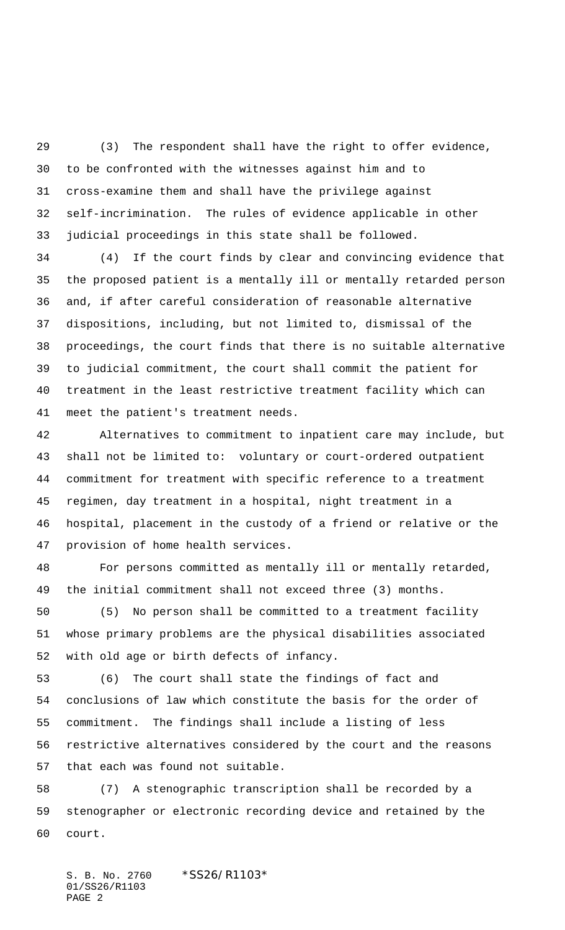(3) The respondent shall have the right to offer evidence, to be confronted with the witnesses against him and to cross-examine them and shall have the privilege against self-incrimination. The rules of evidence applicable in other judicial proceedings in this state shall be followed.

 (4) If the court finds by clear and convincing evidence that the proposed patient is a mentally ill or mentally retarded person and, if after careful consideration of reasonable alternative dispositions, including, but not limited to, dismissal of the proceedings, the court finds that there is no suitable alternative to judicial commitment, the court shall commit the patient for treatment in the least restrictive treatment facility which can meet the patient's treatment needs.

 Alternatives to commitment to inpatient care may include, but shall not be limited to: voluntary or court-ordered outpatient commitment for treatment with specific reference to a treatment regimen, day treatment in a hospital, night treatment in a hospital, placement in the custody of a friend or relative or the provision of home health services.

 For persons committed as mentally ill or mentally retarded, the initial commitment shall not exceed three (3) months.

 (5) No person shall be committed to a treatment facility whose primary problems are the physical disabilities associated with old age or birth defects of infancy.

 (6) The court shall state the findings of fact and conclusions of law which constitute the basis for the order of commitment. The findings shall include a listing of less restrictive alternatives considered by the court and the reasons that each was found not suitable.

 (7) A stenographic transcription shall be recorded by a stenographer or electronic recording device and retained by the court.

S. B. No. 2760 \*SS26/R1103\* 01/SS26/R1103 PAGE 2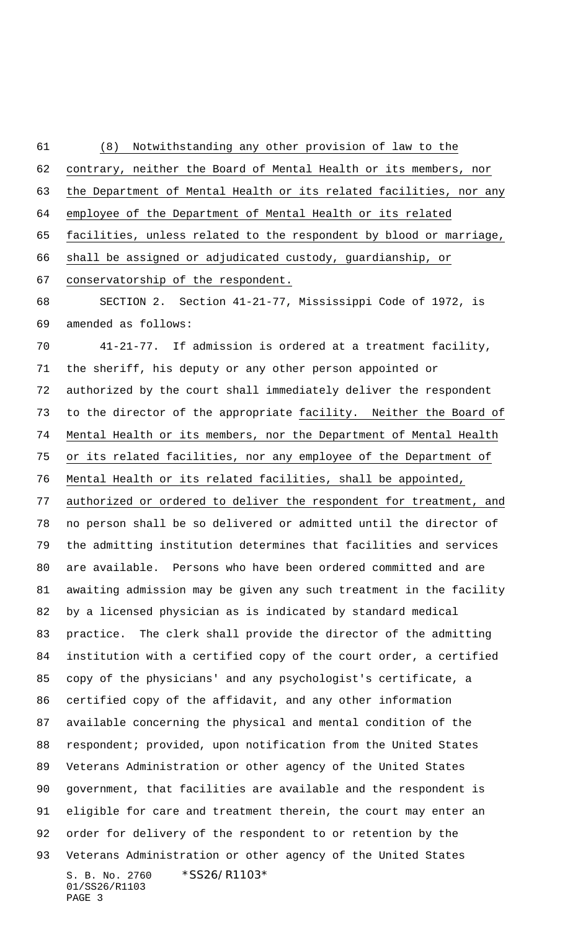S. B. No. 2760 \*SS26/R1103\* 01/SS26/R1103 PAGE 3 contrary, neither the Board of Mental Health or its members, nor the Department of Mental Health or its related facilities, nor any employee of the Department of Mental Health or its related facilities, unless related to the respondent by blood or marriage, shall be assigned or adjudicated custody, guardianship, or conservatorship of the respondent. SECTION 2. Section 41-21-77, Mississippi Code of 1972, is amended as follows: 41-21-77. If admission is ordered at a treatment facility, the sheriff, his deputy or any other person appointed or authorized by the court shall immediately deliver the respondent to the director of the appropriate facility. Neither the Board of Mental Health or its members, nor the Department of Mental Health or its related facilities, nor any employee of the Department of Mental Health or its related facilities, shall be appointed, authorized or ordered to deliver the respondent for treatment, and no person shall be so delivered or admitted until the director of the admitting institution determines that facilities and services are available. Persons who have been ordered committed and are awaiting admission may be given any such treatment in the facility by a licensed physician as is indicated by standard medical practice. The clerk shall provide the director of the admitting institution with a certified copy of the court order, a certified copy of the physicians' and any psychologist's certificate, a certified copy of the affidavit, and any other information available concerning the physical and mental condition of the respondent; provided, upon notification from the United States Veterans Administration or other agency of the United States government, that facilities are available and the respondent is eligible for care and treatment therein, the court may enter an order for delivery of the respondent to or retention by the Veterans Administration or other agency of the United States

(8) Notwithstanding any other provision of law to the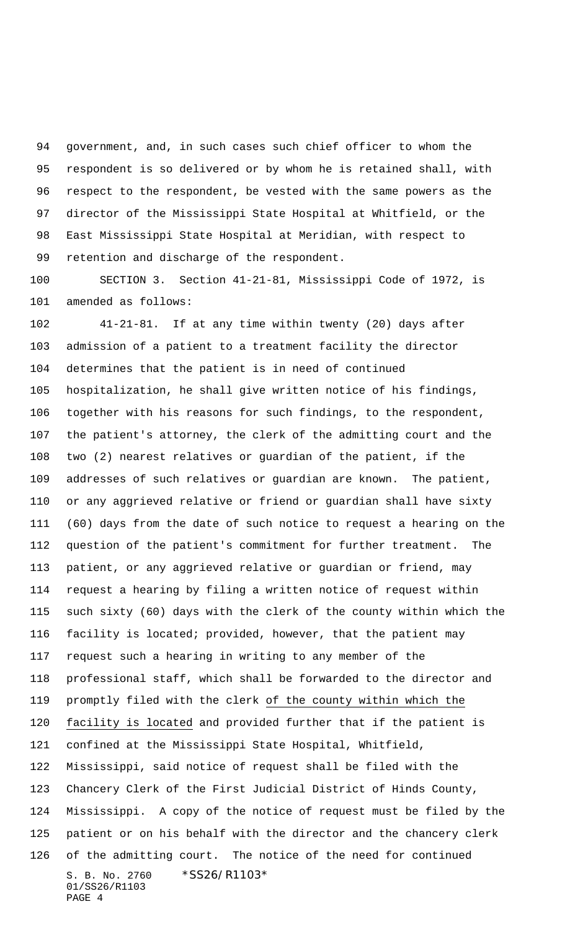government, and, in such cases such chief officer to whom the respondent is so delivered or by whom he is retained shall, with respect to the respondent, be vested with the same powers as the director of the Mississippi State Hospital at Whitfield, or the East Mississippi State Hospital at Meridian, with respect to retention and discharge of the respondent.

 SECTION 3. Section 41-21-81, Mississippi Code of 1972, is amended as follows:

S. B. No. 2760 \*SS26/R1103\* 01/SS26/R1103 PAGE 4 41-21-81. If at any time within twenty (20) days after admission of a patient to a treatment facility the director determines that the patient is in need of continued hospitalization, he shall give written notice of his findings, together with his reasons for such findings, to the respondent, the patient's attorney, the clerk of the admitting court and the two (2) nearest relatives or guardian of the patient, if the addresses of such relatives or guardian are known. The patient, or any aggrieved relative or friend or guardian shall have sixty (60) days from the date of such notice to request a hearing on the question of the patient's commitment for further treatment. The patient, or any aggrieved relative or guardian or friend, may request a hearing by filing a written notice of request within such sixty (60) days with the clerk of the county within which the facility is located; provided, however, that the patient may request such a hearing in writing to any member of the professional staff, which shall be forwarded to the director and promptly filed with the clerk of the county within which the facility is located and provided further that if the patient is confined at the Mississippi State Hospital, Whitfield, Mississippi, said notice of request shall be filed with the Chancery Clerk of the First Judicial District of Hinds County, Mississippi. A copy of the notice of request must be filed by the patient or on his behalf with the director and the chancery clerk of the admitting court. The notice of the need for continued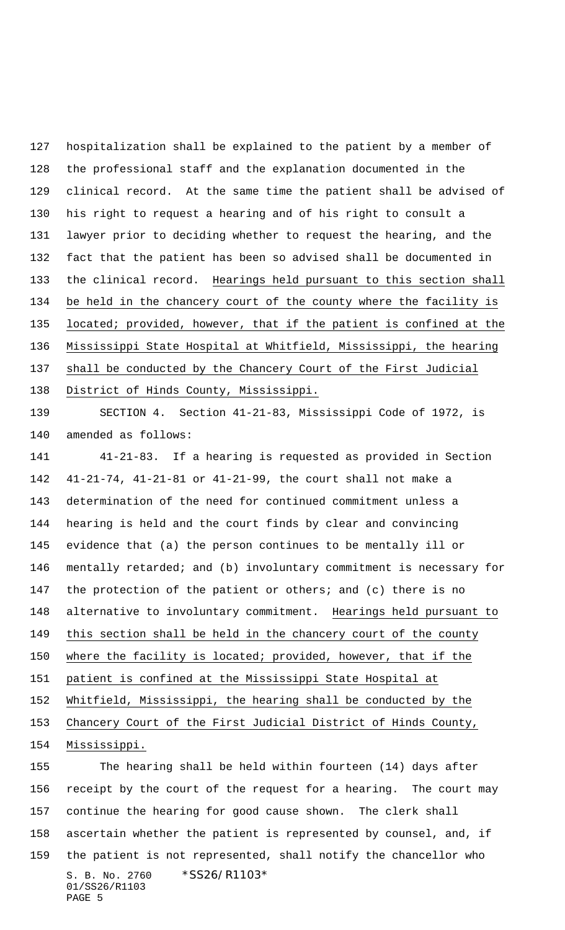hospitalization shall be explained to the patient by a member of the professional staff and the explanation documented in the clinical record. At the same time the patient shall be advised of his right to request a hearing and of his right to consult a lawyer prior to deciding whether to request the hearing, and the fact that the patient has been so advised shall be documented in the clinical record. Hearings held pursuant to this section shall be held in the chancery court of the county where the facility is located; provided, however, that if the patient is confined at the Mississippi State Hospital at Whitfield, Mississippi, the hearing shall be conducted by the Chancery Court of the First Judicial District of Hinds County, Mississippi.

 SECTION 4. Section 41-21-83, Mississippi Code of 1972, is amended as follows:

 41-21-83. If a hearing is requested as provided in Section 41-21-74, 41-21-81 or 41-21-99, the court shall not make a determination of the need for continued commitment unless a hearing is held and the court finds by clear and convincing evidence that (a) the person continues to be mentally ill or mentally retarded; and (b) involuntary commitment is necessary for the protection of the patient or others; and (c) there is no alternative to involuntary commitment. Hearings held pursuant to this section shall be held in the chancery court of the county where the facility is located; provided, however, that if the patient is confined at the Mississippi State Hospital at Whitfield, Mississippi, the hearing shall be conducted by the Chancery Court of the First Judicial District of Hinds County, Mississippi. The hearing shall be held within fourteen (14) days after

S. B. No. 2760 \*SS26/R1103\* 01/SS26/R1103 PAGE 5 receipt by the court of the request for a hearing. The court may continue the hearing for good cause shown. The clerk shall ascertain whether the patient is represented by counsel, and, if the patient is not represented, shall notify the chancellor who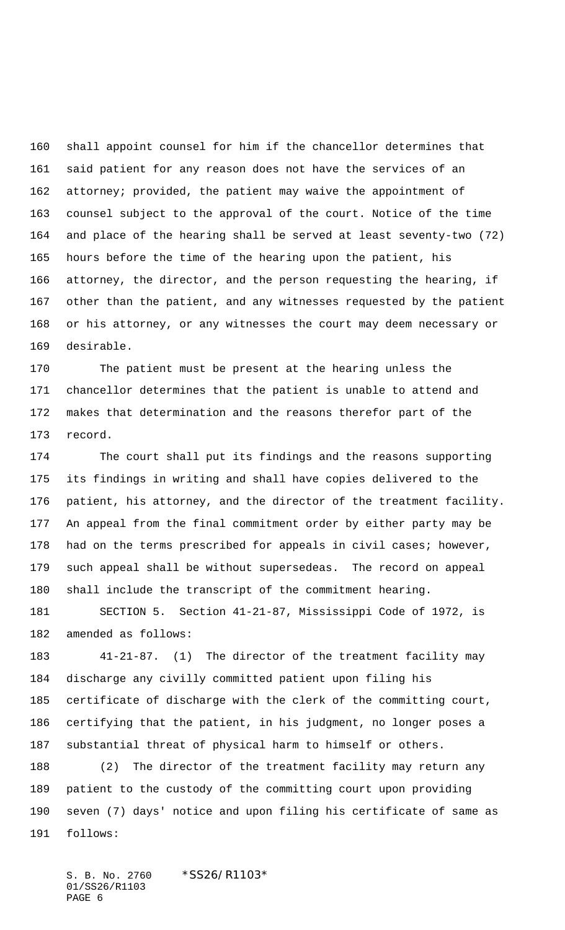shall appoint counsel for him if the chancellor determines that said patient for any reason does not have the services of an attorney; provided, the patient may waive the appointment of counsel subject to the approval of the court. Notice of the time and place of the hearing shall be served at least seventy-two (72) hours before the time of the hearing upon the patient, his attorney, the director, and the person requesting the hearing, if other than the patient, and any witnesses requested by the patient or his attorney, or any witnesses the court may deem necessary or desirable.

 The patient must be present at the hearing unless the chancellor determines that the patient is unable to attend and makes that determination and the reasons therefor part of the record.

 The court shall put its findings and the reasons supporting its findings in writing and shall have copies delivered to the patient, his attorney, and the director of the treatment facility. An appeal from the final commitment order by either party may be had on the terms prescribed for appeals in civil cases; however, such appeal shall be without supersedeas. The record on appeal shall include the transcript of the commitment hearing.

 SECTION 5. Section 41-21-87, Mississippi Code of 1972, is amended as follows:

 41-21-87. (1) The director of the treatment facility may discharge any civilly committed patient upon filing his certificate of discharge with the clerk of the committing court, certifying that the patient, in his judgment, no longer poses a substantial threat of physical harm to himself or others.

 (2) The director of the treatment facility may return any patient to the custody of the committing court upon providing seven (7) days' notice and upon filing his certificate of same as follows:

S. B. No. 2760 \*SS26/R1103\* 01/SS26/R1103 PAGE 6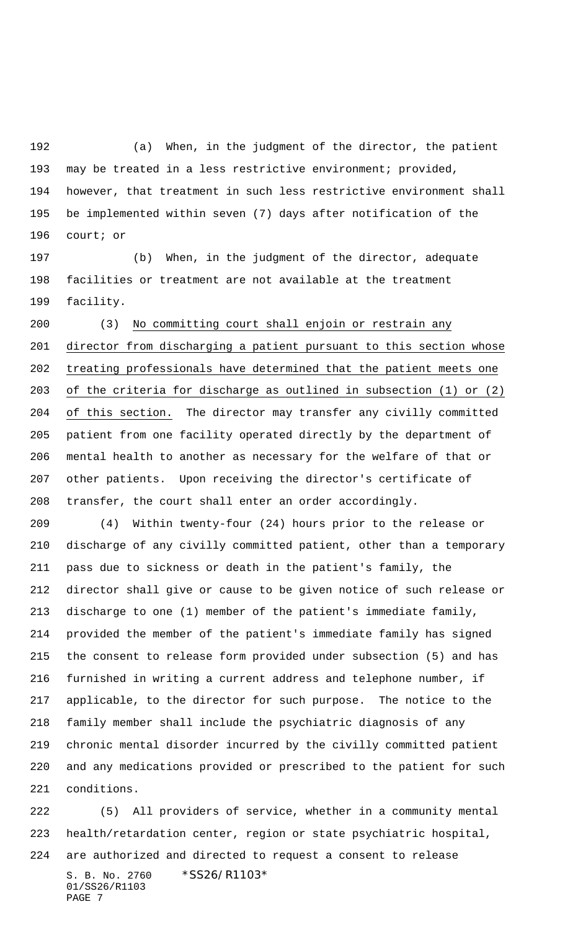(a) When, in the judgment of the director, the patient may be treated in a less restrictive environment; provided, however, that treatment in such less restrictive environment shall be implemented within seven (7) days after notification of the court; or

 (b) When, in the judgment of the director, adequate facilities or treatment are not available at the treatment facility.

 (3) No committing court shall enjoin or restrain any director from discharging a patient pursuant to this section whose treating professionals have determined that the patient meets one of the criteria for discharge as outlined in subsection (1) or (2) of this section. The director may transfer any civilly committed patient from one facility operated directly by the department of mental health to another as necessary for the welfare of that or other patients. Upon receiving the director's certificate of transfer, the court shall enter an order accordingly.

 (4) Within twenty-four (24) hours prior to the release or discharge of any civilly committed patient, other than a temporary pass due to sickness or death in the patient's family, the director shall give or cause to be given notice of such release or discharge to one (1) member of the patient's immediate family, provided the member of the patient's immediate family has signed the consent to release form provided under subsection (5) and has furnished in writing a current address and telephone number, if applicable, to the director for such purpose. The notice to the family member shall include the psychiatric diagnosis of any chronic mental disorder incurred by the civilly committed patient and any medications provided or prescribed to the patient for such conditions.

S. B. No. 2760 \*SS26/R1103\* 01/SS26/R1103 PAGE 7 (5) All providers of service, whether in a community mental health/retardation center, region or state psychiatric hospital, are authorized and directed to request a consent to release